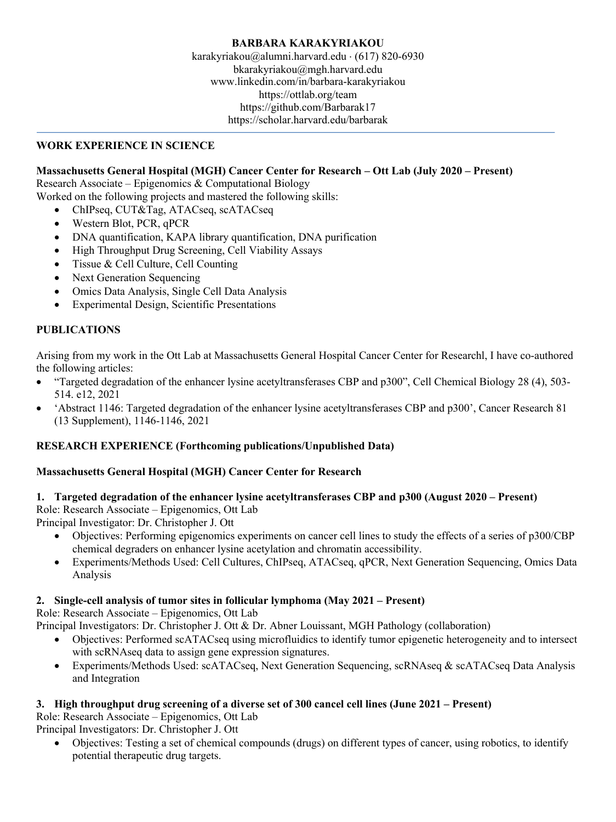### **WORK EXPERIENCE IN SCIENCE**

### **Massachusetts General Hospital (MGH) Cancer Center for Research – Ott Lab (July 2020 – Present)**

Research Associate – Epigenomics & Computational Biology

Worked on the following projects and mastered the following skills:

- ChIPseq, CUT&Tag, ATACseq, scATACseq
- Western Blot, PCR, qPCR
- DNA quantification, KAPA library quantification, DNA purification
- High Throughput Drug Screening, Cell Viability Assays
- Tissue & Cell Culture, Cell Counting
- Next Generation Sequencing
- Omics Data Analysis, Single Cell Data Analysis
- Experimental Design, Scientific Presentations

### **PUBLICATIONS**

Arising from my work in the Ott Lab at Massachusetts General Hospital Cancer Center for Researchl, I have co-authored the following articles:

- "Targeted degradation of the enhancer lysine acetyltransferases CBP and p300", Cell Chemical Biology 28 (4), 503- 514. e12, 2021
- 'Abstract 1146: Targeted degradation of the enhancer lysine acetyltransferases CBP and p300', Cancer Research 81 (13 Supplement), 1146-1146, 2021

### **RESEARCH EXPERIENCE (Forthcoming publications/Unpublished Data)**

### **Massachusetts General Hospital (MGH) Cancer Center for Research**

## **1. Targeted degradation of the enhancer lysine acetyltransferases CBP and p300 (August 2020 – Present)**

Role: Research Associate – Epigenomics, Ott Lab

Principal Investigator: Dr. Christopher J. Ott

- Objectives: Performing epigenomics experiments on cancer cell lines to study the effects of a series of p300/CBP chemical degraders on enhancer lysine acetylation and chromatin accessibility.
- Experiments/Methods Used: Cell Cultures, ChIPseq, ATACseq, qPCR, Next Generation Sequencing, Omics Data Analysis

### **2. Single-cell analysis of tumor sites in follicular lymphoma (May 2021 – Present)**

Role: Research Associate – Epigenomics, Ott Lab

Principal Investigators: Dr. Christopher J. Ott & Dr. Abner Louissant, MGH Pathology (collaboration)

- Objectives: Performed scATACseq using microfluidics to identify tumor epigenetic heterogeneity and to intersect with scRNAseq data to assign gene expression signatures.
- Experiments/Methods Used: scATACseq, Next Generation Sequencing, scRNAseq & scATACseq Data Analysis and Integration

### **3. High throughput drug screening of a diverse set of 300 cancel cell lines (June 2021 – Present)**

Role: Research Associate – Epigenomics, Ott Lab

Principal Investigators: Dr. Christopher J. Ott

• Objectives: Testing a set of chemical compounds (drugs) on different types of cancer, using robotics, to identify potential therapeutic drug targets.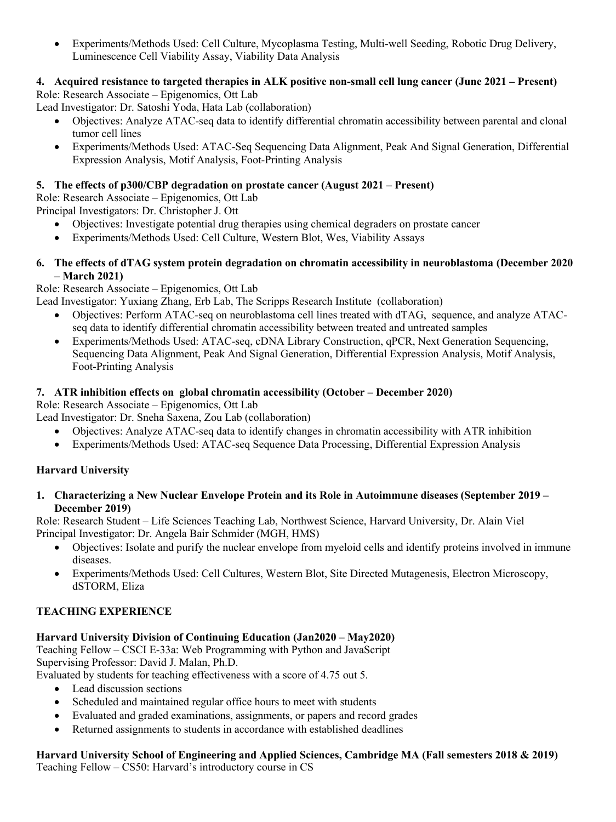• Experiments/Methods Used: Cell Culture, Mycoplasma Testing, Multi-well Seeding, Robotic Drug Delivery, Luminescence Cell Viability Assay, Viability Data Analysis

# **4. Acquired resistance to targeted therapies in ALK positive non-small cell lung cancer (June 2021 – Present)**

Role: Research Associate – Epigenomics, Ott Lab

Lead Investigator: Dr. Satoshi Yoda, Hata Lab (collaboration)

- Objectives: Analyze ATAC-seq data to identify differential chromatin accessibility between parental and clonal tumor cell lines
- Experiments/Methods Used: ATAC-Seq Sequencing Data Alignment, Peak And Signal Generation, Differential Expression Analysis, Motif Analysis, Foot-Printing Analysis

### **5. The effects of p300/CBP degradation on prostate cancer (August 2021 – Present)**

Role: Research Associate – Epigenomics, Ott Lab Principal Investigators: Dr. Christopher J. Ott

- Objectives: Investigate potential drug therapies using chemical degraders on prostate cancer
- Experiments/Methods Used: Cell Culture, Western Blot, Wes, Viability Assays

### **6. The effects of dTAG system protein degradation on chromatin accessibility in neuroblastoma (December 2020 – March 2021)**

Role: Research Associate – Epigenomics, Ott Lab

Lead Investigator: Yuxiang Zhang, Erb Lab, The Scripps Research Institute (collaboration)

- Objectives: Perform ATAC-seq on neuroblastoma cell lines treated with dTAG, sequence, and analyze ATACseq data to identify differential chromatin accessibility between treated and untreated samples
- Experiments/Methods Used: ATAC-seq, cDNA Library Construction, qPCR, Next Generation Sequencing, Sequencing Data Alignment, Peak And Signal Generation, Differential Expression Analysis, Motif Analysis, Foot-Printing Analysis

### **7. ATR inhibition effects on global chromatin accessibility (October – December 2020)**

Role: Research Associate – Epigenomics, Ott Lab

Lead Investigator: Dr. Sneha Saxena, Zou Lab (collaboration)

- Objectives: Analyze ATAC-seq data to identify changes in chromatin accessibility with ATR inhibition
- Experiments/Methods Used: ATAC-seq Sequence Data Processing, Differential Expression Analysis

### **Harvard University**

**1. Characterizing a New Nuclear Envelope Protein and its Role in Autoimmune diseases (September 2019 – December 2019)**

Role: Research Student – Life Sciences Teaching Lab, Northwest Science, Harvard University, Dr. Alain Viel Principal Investigator: Dr. Angela Bair Schmider (MGH, HMS)

- Objectives: Isolate and purify the nuclear envelope from myeloid cells and identify proteins involved in immune diseases.
- Experiments/Methods Used: Cell Cultures, Western Blot, Site Directed Mutagenesis, Electron Microscopy, dSTORM, Eliza

### **TEACHING EXPERIENCE**

### **Harvard University Division of Continuing Education (Jan2020 – May2020)**

Teaching Fellow – CSCI E-33a: Web Programming with Python and JavaScript Supervising Professor: David J. Malan, Ph.D.

Evaluated by students for teaching effectiveness with a score of 4.75 out 5.

- Lead discussion sections
- Scheduled and maintained regular office hours to meet with students
- Evaluated and graded examinations, assignments, or papers and record grades
- Returned assignments to students in accordance with established deadlines

### **Harvard University School of Engineering and Applied Sciences, Cambridge MA (Fall semesters 2018 & 2019)** Teaching Fellow – CS50: Harvard's introductory course in CS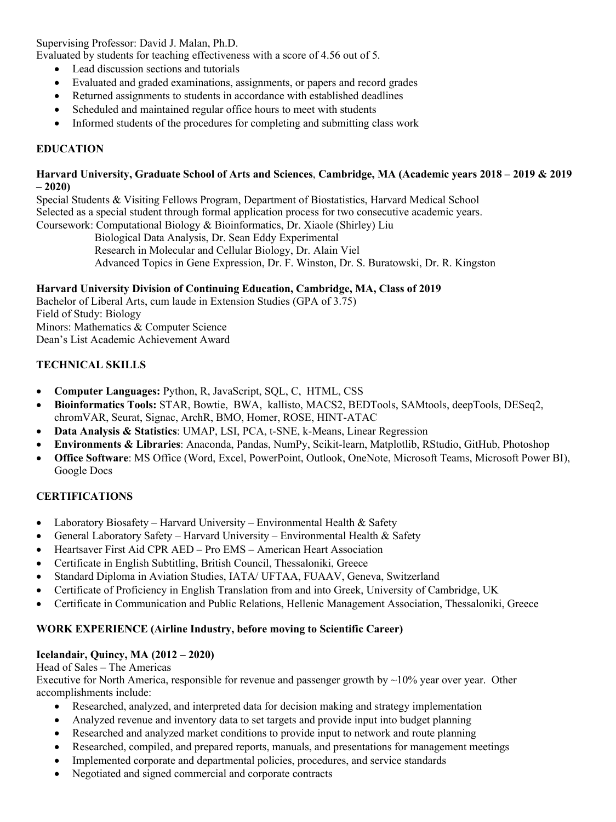Supervising Professor: David J. Malan, Ph.D.

Evaluated by students for teaching effectiveness with a score of 4.56 out of 5.

- Lead discussion sections and tutorials
- Evaluated and graded examinations, assignments, or papers and record grades
- Returned assignments to students in accordance with established deadlines
- Scheduled and maintained regular office hours to meet with students
- Informed students of the procedures for completing and submitting class work

### **EDUCATION**

#### **Harvard University, Graduate School of Arts and Sciences**, **Cambridge, MA (Academic years 2018 – 2019 & 2019 – 2020)**

Special Students & Visiting Fellows Program, Department of Biostatistics, Harvard Medical School Selected as a special student through formal application process for two consecutive academic years. Coursework: Computational Biology & Bioinformatics, Dr. Xiaole (Shirley) Liu

 Biological Data Analysis, Dr. Sean Eddy Experimental Research in Molecular and Cellular Biology, Dr. Alain Viel Advanced Topics in Gene Expression, Dr. F. Winston, Dr. S. Buratowski, Dr. R. Kingston

### **Harvard University Division of Continuing Education, Cambridge, MA, Class of 2019**

Bachelor of Liberal Arts, cum laude in Extension Studies (GPA of 3.75) Field of Study: Biology Minors: Mathematics & Computer Science Dean's List Academic Achievement Award

### **TECHNICAL SKILLS**

- **Computer Languages:** Python, R, JavaScript, SQL, C, HTML, CSS
- **Bioinformatics Tools:** STAR, Bowtie, BWA, kallisto, MACS2, BEDTools, SAMtools, deepTools, DESeq2, chromVAR, Seurat, Signac, ArchR, BMO, Homer, ROSE, HINT-ATAC
- **Data Analysis & Statistics**: UMAP, LSI, PCA, t-SNE, k-Means, Linear Regression
- **Environments & Libraries**: Anaconda, Pandas, NumPy, Scikit-learn, Matplotlib, RStudio, GitHub, Photoshop
- **Office Software**: MS Office (Word, Excel, PowerPoint, Outlook, OneNote, Microsoft Teams, Microsoft Power BI), Google Docs

#### **CERTIFICATIONS**

- Laboratory Biosafety Harvard University Environmental Health  $\&$  Safety
- General Laboratory Safety Harvard University Environmental Health & Safety
- Heartsaver First Aid CPR AED Pro EMS American Heart Association
- Certificate in English Subtitling, British Council, Thessaloniki, Greece
- Standard Diploma in Aviation Studies, IATA/ UFTAA, FUAAV, Geneva, Switzerland
- Certificate of Proficiency in English Translation from and into Greek, University of Cambridge, UK
- Certificate in Communication and Public Relations, Hellenic Management Association, Thessaloniki, Greece

#### **WORK EXPERIENCE (Airline Industry, before moving to Scientific Career)**

#### **Icelandair, Quincy, MA (2012 – 2020)**

#### Head of Sales – The Americas

Executive for North America, responsible for revenue and passenger growth by  $\sim$ 10% year over year. Other accomplishments include:

- Researched, analyzed, and interpreted data for decision making and strategy implementation
- Analyzed revenue and inventory data to set targets and provide input into budget planning
- Researched and analyzed market conditions to provide input to network and route planning
- Researched, compiled, and prepared reports, manuals, and presentations for management meetings
- Implemented corporate and departmental policies, procedures, and service standards
- Negotiated and signed commercial and corporate contracts